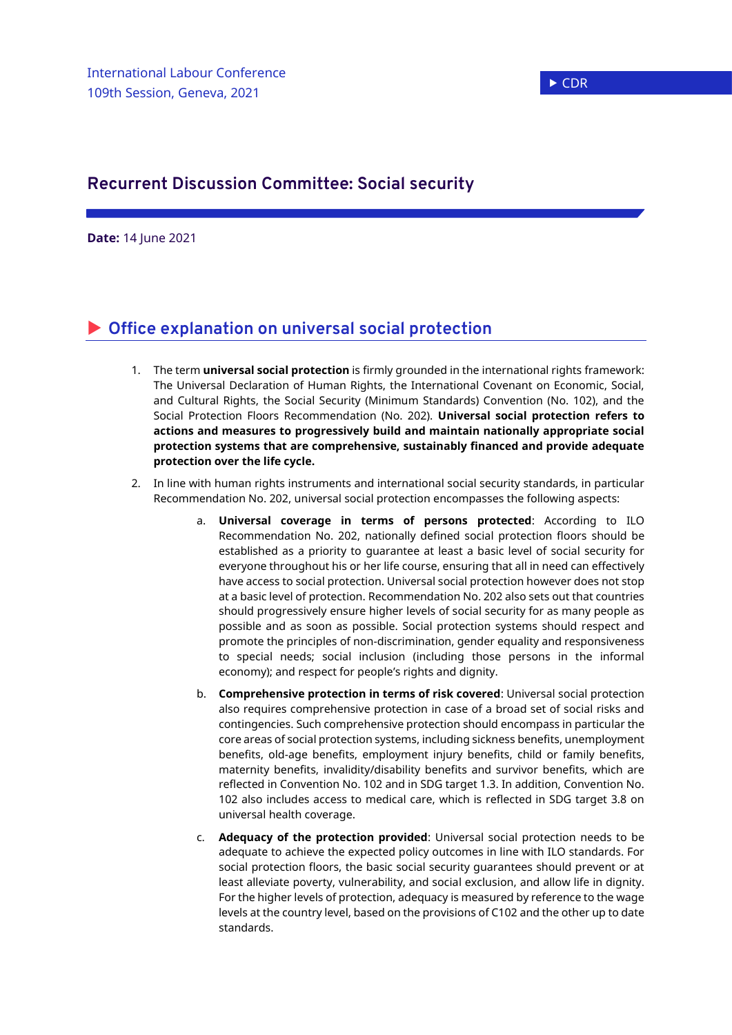## **Recurrent Discussion Committee: Social security**

**Date:** 14 June 2021

## **Office explanation on universal social protection**

- 1. The term **universal social protection** is firmly grounded in the international rights framework: The Universal Declaration of Human Rights, the International Covenant on Economic, Social, and Cultural Rights, the Social Security (Minimum Standards) Convention (No. 102), and the Social Protection Floors Recommendation (No. 202). **Universal social protection refers to actions and measures to progressively build and maintain nationally appropriate social protection systems that are comprehensive, sustainably financed and provide adequate protection over the life cycle.**
- 2. In line with human rights instruments and international social security standards, in particular Recommendation No. 202, universal social protection encompasses the following aspects:
	- a. **Universal coverage in terms of persons protected**: According to ILO Recommendation No. 202, nationally defined social protection floors should be established as a priority to guarantee at least a basic level of social security for everyone throughout his or her life course, ensuring that all in need can effectively have access to social protection. Universal social protection however does not stop at a basic level of protection. Recommendation No. 202 also sets out that countries should progressively ensure higher levels of social security for as many people as possible and as soon as possible. Social protection systems should respect and promote the principles of non-discrimination, gender equality and responsiveness to special needs; social inclusion (including those persons in the informal economy); and respect for people's rights and dignity.
	- b. **Comprehensive protection in terms of risk covered**: Universal social protection also requires comprehensive protection in case of a broad set of social risks and contingencies. Such comprehensive protection should encompass in particular the core areas of social protection systems, including sickness benefits, unemployment benefits, old-age benefits, employment injury benefits, child or family benefits, maternity benefits, invalidity/disability benefits and survivor benefits, which are reflected in Convention No. 102 and in SDG target 1.3. In addition, Convention No. 102 also includes access to medical care, which is reflected in SDG target 3.8 on universal health coverage.
	- c. **Adequacy of the protection provided**: Universal social protection needs to be adequate to achieve the expected policy outcomes in line with ILO standards. For social protection floors, the basic social security guarantees should prevent or at least alleviate poverty, vulnerability, and social exclusion, and allow life in dignity. For the higher levels of protection, adequacy is measured by reference to the wage levels at the country level, based on the provisions of C102 and the other up to date standards.